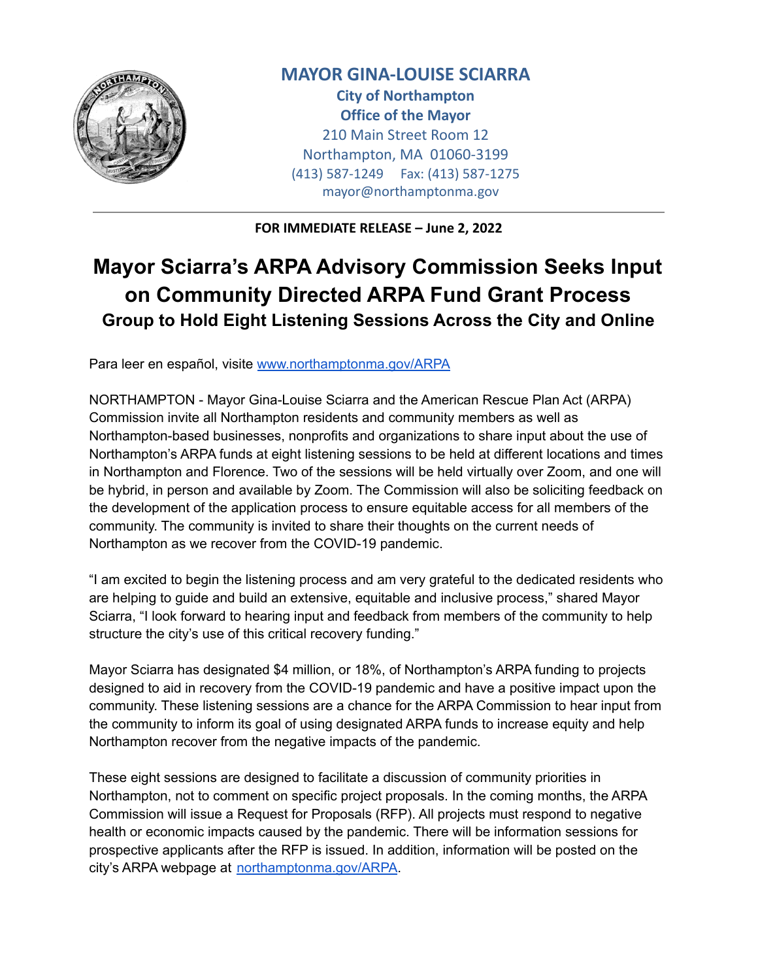

## **MAYOR GINA-LOUISE SCIARRA**

**City of Northampton Office of the Mayor** 210 Main Street Room 12 Northampton, MA 01060-3199 (413) 587-1249 Fax: (413) 587-1275 mayor@northamptonma.gov

**FOR IMMEDIATE RELEASE – June 2, 2022**

# **Mayor Sciarra's ARPA Advisory Commission Seeks Input on Community Directed ARPA Fund Grant Process Group to Hold Eight Listening Sessions Across the City and Online**

Para leer en español, visite [www.northamptonma.gov/ARPA](http://www.northamptonma.gov/ARPA)

NORTHAMPTON - Mayor Gina-Louise Sciarra and the American Rescue Plan Act (ARPA) Commission invite all Northampton residents and community members as well as Northampton-based businesses, nonprofits and organizations to share input about the use of Northampton's ARPA funds at eight listening sessions to be held at different locations and times in Northampton and Florence. Two of the sessions will be held virtually over Zoom, and one will be hybrid, in person and available by Zoom. The Commission will also be soliciting feedback on the development of the application process to ensure equitable access for all members of the community. The community is invited to share their thoughts on the current needs of Northampton as we recover from the COVID-19 pandemic.

"I am excited to begin the listening process and am very grateful to the dedicated residents who are helping to guide and build an extensive, equitable and inclusive process," shared Mayor Sciarra, "I look forward to hearing input and feedback from members of the community to help structure the city's use of this critical recovery funding."

Mayor Sciarra has designated \$4 million, or 18%, of Northampton's ARPA funding to projects designed to aid in recovery from the COVID-19 pandemic and have a positive impact upon the community. These listening sessions are a chance for the ARPA Commission to hear input from the community to inform its goal of using designated ARPA funds to increase equity and help Northampton recover from the negative impacts of the pandemic.

These eight sessions are designed to facilitate a discussion of community priorities in Northampton, not to comment on specific project proposals. In the coming months, the ARPA Commission will issue a Request for Proposals (RFP). All projects must respond to negative health or economic impacts caused by the pandemic. There will be information sessions for prospective applicants after the RFP is issued. In addition, information will be posted on the city's ARPA webpage at [northamptonma.gov/ARPA](http://northamptonma.gov/ARPA).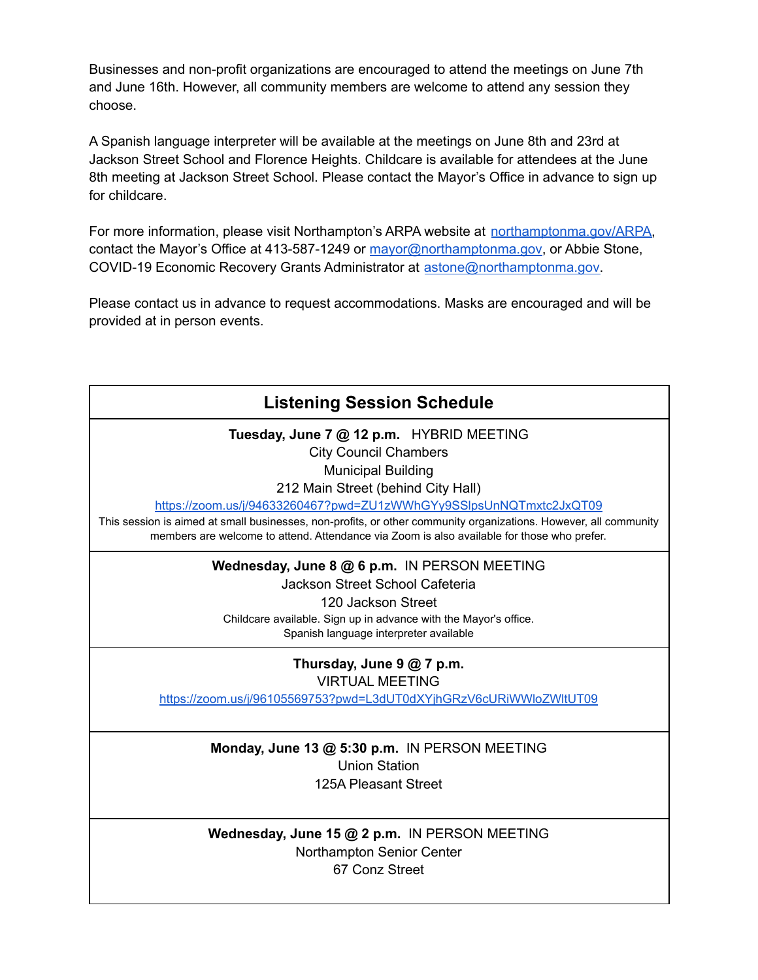Businesses and non-profit organizations are encouraged to attend the meetings on June 7th and June 16th. However, all community members are welcome to attend any session they choose.

A Spanish language interpreter will be available at the meetings on June 8th and 23rd at Jackson Street School and Florence Heights. Childcare is available for attendees at the June 8th meeting at Jackson Street School. Please contact the Mayor's Office in advance to sign up for childcare.

For more information, please visit Northampton's ARPA website at [northamptonma.gov/ARPA,](http://northamptonma.gov/ARPA) contact the Mayor's Office at 413-587-1249 or [mayor@northamptonma.gov](mailto:mayor@northamptonma.gov), or Abbie Stone, COVID-19 Economic Recovery Grants Administrator at [astone@northamptonma.gov.](mailto:astone@northamptonma.gov)

Please contact us in advance to request accommodations. Masks are encouraged and will be provided at in person events.

| <b>Listening Session Schedule</b>                                                                                                                                                                                                                                                                                                                                                                                                   |
|-------------------------------------------------------------------------------------------------------------------------------------------------------------------------------------------------------------------------------------------------------------------------------------------------------------------------------------------------------------------------------------------------------------------------------------|
| Tuesday, June 7 @ 12 p.m. HYBRID MEETING<br><b>City Council Chambers</b><br><b>Municipal Building</b><br>212 Main Street (behind City Hall)<br>https://zoom.us/j/94633260467?pwd=ZU1zWWhGYy9SSlpsUnNQTmxtc2JxQT09<br>This session is aimed at small businesses, non-profits, or other community organizations. However, all community<br>members are welcome to attend. Attendance via Zoom is also available for those who prefer. |
| Wednesday, June 8 @ 6 p.m. IN PERSON MEETING<br>Jackson Street School Cafeteria<br>120 Jackson Street<br>Childcare available. Sign up in advance with the Mayor's office.<br>Spanish language interpreter available                                                                                                                                                                                                                 |
| Thursday, June 9 @ 7 p.m.<br><b>VIRTUAL MEETING</b><br>https://zoom.us/j/96105569753?pwd=L3dUT0dXYjhGRzV6cURiWWloZWltUT09                                                                                                                                                                                                                                                                                                           |
| Monday, June 13 @ 5:30 p.m. IN PERSON MEETING<br><b>Union Station</b><br>125A Pleasant Street                                                                                                                                                                                                                                                                                                                                       |
| Wednesday, June 15 @ 2 p.m. IN PERSON MEETING<br>Northampton Senior Center<br>67 Conz Street                                                                                                                                                                                                                                                                                                                                        |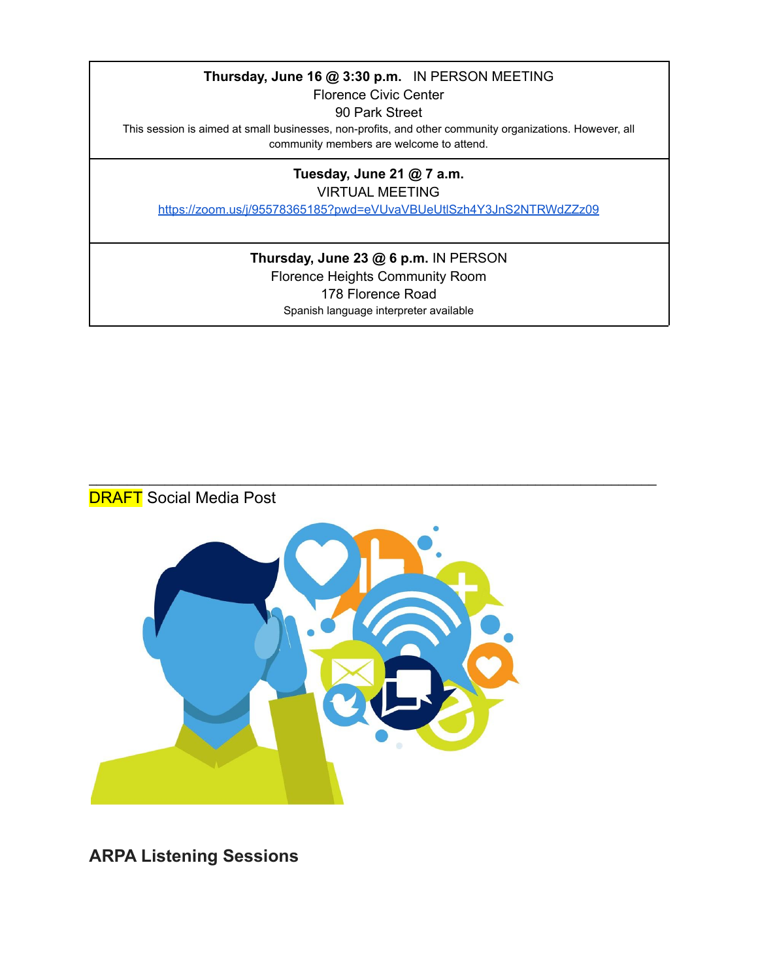#### **Thursday, June 16 @ 3:30 p.m.** IN PERSON MEETING

Florence Civic Center

90 Park Street

This session is aimed at small businesses, non-profits, and other community organizations. However, all community members are welcome to attend.

### **Tuesday, June 21 @ 7 a.m.** VIRTUAL MEETING

<https://zoom.us/j/95578365185?pwd=eVUvaVBUeUtlSzh4Y3JnS2NTRWdZZz09>

#### **Thursday, June 23 @ 6 p.m.** IN PERSON Florence Heights Community Room 178 Florence Road Spanish language interpreter available

\_\_\_\_\_\_\_\_\_\_\_\_\_\_\_\_\_\_\_\_\_\_\_\_\_\_\_\_\_\_\_\_\_\_\_\_\_\_\_\_\_\_\_\_\_\_\_\_\_\_\_\_\_\_\_\_\_\_\_\_\_\_\_\_\_\_\_\_\_\_\_\_\_\_\_

DRAFT Social Media Post



**ARPA Listening Sessions**